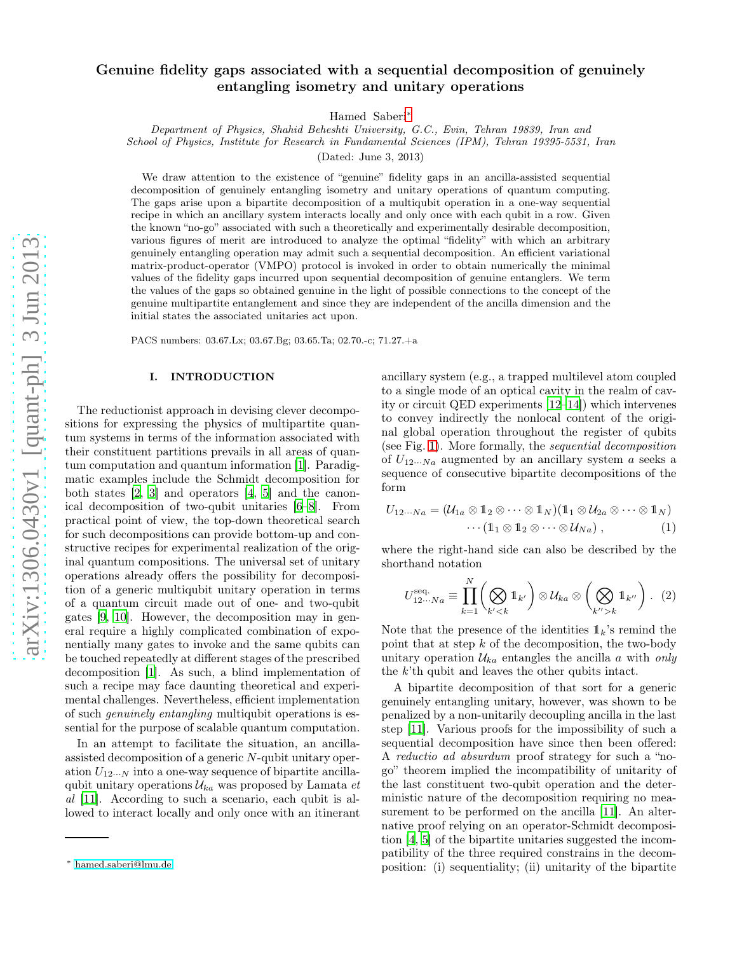# Genuine fidelity gaps associated with a sequential decomposition of genuinely entangling isometry and unitary operations

Hamed Saberi[∗](#page-0-0)

Department of Physics, Shahid Beheshti University, G.C., Evin, Tehran 19839, Iran and School of Physics, Institute for Research in Fundamental Sciences (IPM), Tehran 19395-5531, Iran

(Dated: June 3, 2013)

We draw attention to the existence of "genuine" fidelity gaps in an ancilla-assisted sequential decomposition of genuinely entangling isometry and unitary operations of quantum computing. The gaps arise upon a bipartite decomposition of a multiqubit operation in a one-way sequential recipe in which an ancillary system interacts locally and only once with each qubit in a row. Given the known "no-go" associated with such a theoretically and experimentally desirable decomposition, various figures of merit are introduced to analyze the optimal "fidelity" with which an arbitrary genuinely entangling operation may admit such a sequential decomposition. An efficient variational matrix-product-operator (VMPO) protocol is invoked in order to obtain numerically the minimal values of the fidelity gaps incurred upon sequential decomposition of genuine entanglers. We term the values of the gaps so obtained genuine in the light of possible connections to the concept of the genuine multipartite entanglement and since they are independent of the ancilla dimension and the initial states the associated unitaries act upon.

PACS numbers: 03.67.Lx; 03.67.Bg; 03.65.Ta; 02.70.-c; 71.27.+a

# I. INTRODUCTION

The reductionist approach in devising clever decompositions for expressing the physics of multipartite quantum systems in terms of the information associated with their constituent partitions prevails in all areas of quantum computation and quantum information [\[1](#page-5-0)]. Paradigmatic examples include the Schmidt decomposition for both states [\[2,](#page-5-1) [3](#page-5-2)] and operators [\[4,](#page-5-3) [5](#page-5-4)] and the canonical decomposition of two-qubit unitaries [\[6](#page-5-5)[–8](#page-5-6)]. From practical point of view, the top-down theoretical search for such decompositions can provide bottom-up and constructive recipes for experimental realization of the original quantum compositions. The universal set of unitary operations already offers the possibility for decomposition of a generic multiqubit unitary operation in terms of a quantum circuit made out of one- and two-qubit gates [\[9](#page-5-7), [10](#page-5-8)]. However, the decomposition may in general require a highly complicated combination of exponentially many gates to invoke and the same qubits can be touched repeatedly at different stages of the prescribed decomposition [\[1](#page-5-0)]. As such, a blind implementation of such a recipe may face daunting theoretical and experimental challenges. Nevertheless, efficient implementation of such genuinely entangling multiqubit operations is essential for the purpose of scalable quantum computation.

In an attempt to facilitate the situation, an ancillaassisted decomposition of a generic N-qubit unitary operation  $U_{12\cdots N}$  into a one-way sequence of bipartite ancillaqubit unitary operations  $\mathcal{U}_{ka}$  was proposed by Lamata et al [\[11\]](#page-5-9). According to such a scenario, each qubit is allowed to interact locally and only once with an itinerant

ancillary system (e.g., a trapped multilevel atom coupled to a single mode of an optical cavity in the realm of cavity or circuit QED experiments [\[12](#page-5-10)[–14](#page-5-11)]) which intervenes to convey indirectly the nonlocal content of the original global operation throughout the register of qubits (see Fig. [1\)](#page-1-0). More formally, the sequential decomposition of  $U_{12\cdots Na}$  augmented by an ancillary system a seeks a sequence of consecutive bipartite decompositions of the form

$$
U_{12\cdots Na} = (\mathcal{U}_{1a} \otimes \mathbb{1}_2 \otimes \cdots \otimes \mathbb{1}_N)(\mathbb{1}_1 \otimes \mathcal{U}_{2a} \otimes \cdots \otimes \mathbb{1}_N)
$$
  
...
$$
(\mathbb{1}_1 \otimes \mathbb{1}_2 \otimes \cdots \otimes \mathcal{U}_{Na}),
$$
 (1)

where the right-hand side can also be described by the shorthand notation

<span id="page-0-1"></span>
$$
U_{12\cdots Na}^{\text{seq.}} \equiv \prod_{k=1}^{N} \left( \bigotimes_{k' < k} \mathbb{1}_{k'} \right) \otimes \mathcal{U}_{ka} \otimes \left( \bigotimes_{k'' > k} \mathbb{1}_{k''} \right). \tag{2}
$$

Note that the presence of the identities  $\mathbb{1}_k$ 's remind the point that at step  $k$  of the decomposition, the two-body unitary operation  $\mathcal{U}_{ka}$  entangles the ancilla a with only the k'th qubit and leaves the other qubits intact.

A bipartite decomposition of that sort for a generic genuinely entangling unitary, however, was shown to be penalized by a non-unitarily decoupling ancilla in the last step [\[11](#page-5-9)]. Various proofs for the impossibility of such a sequential decomposition have since then been offered: A reductio ad absurdum proof strategy for such a "nogo" theorem implied the incompatibility of unitarity of the last constituent two-qubit operation and the deterministic nature of the decomposition requiring no measurement to be performed on the ancilla [\[11](#page-5-9)]. An alternative proof relying on an operator-Schmidt decomposition [\[4](#page-5-3), [5\]](#page-5-4) of the bipartite unitaries suggested the incompatibility of the three required constrains in the decomposition: (i) sequentiality; (ii) unitarity of the bipartite

<span id="page-0-0"></span><sup>∗</sup> [hamed.saberi@lmu.de](mailto:hamed.saberi@lmu.de)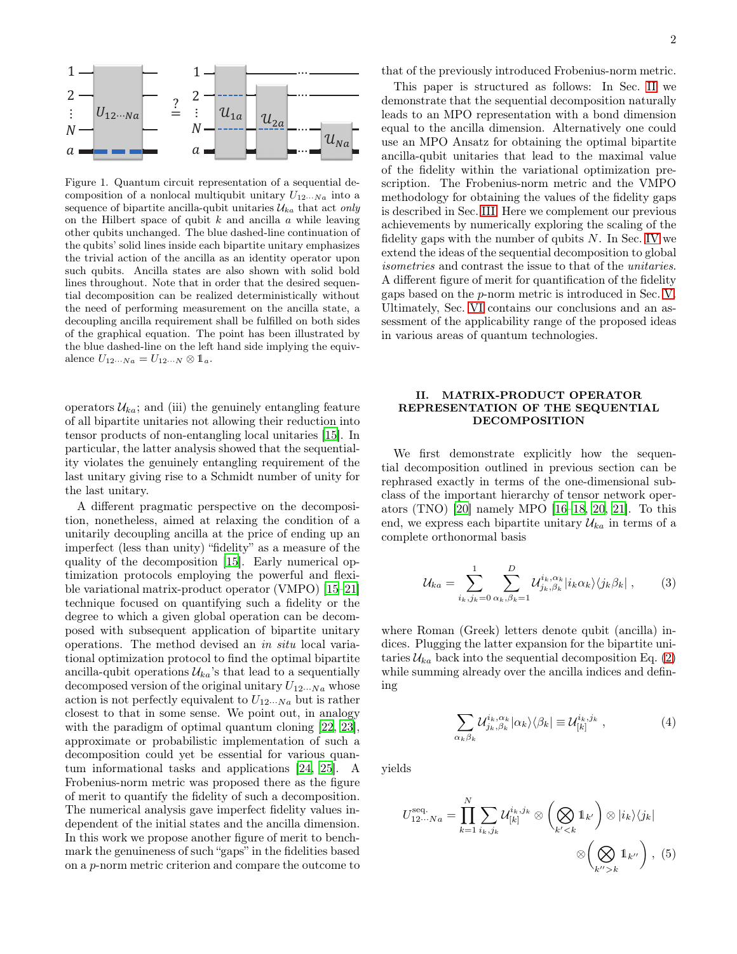

<span id="page-1-0"></span>Figure 1. Quantum circuit representation of a sequential decomposition of a nonlocal multiqubit unitary  $U_{12\cdots Na}$  into a sequence of bipartite ancilla-qubit unitaries  $\mathcal{U}_{ka}$  that act only on the Hilbert space of qubit  $k$  and ancilla  $a$  while leaving other qubits unchanged. The blue dashed-line continuation of the qubits' solid lines inside each bipartite unitary emphasizes the trivial action of the ancilla as an identity operator upon such qubits. Ancilla states are also shown with solid bold lines throughout. Note that in order that the desired sequential decomposition can be realized deterministically without the need of performing measurement on the ancilla state, a decoupling ancilla requirement shall be fulfilled on both sides of the graphical equation. The point has been illustrated by the blue dashed-line on the left hand side implying the equivalence  $U_{12\cdots Na} = U_{12\cdots N} \otimes \mathbb{1}_a$ .

operators  $\mathcal{U}_{ka}$ ; and (iii) the genuinely entangling feature of all bipartite unitaries not allowing their reduction into tensor products of non-entangling local unitaries [\[15](#page-5-12)]. In particular, the latter analysis showed that the sequentiality violates the genuinely entangling requirement of the last unitary giving rise to a Schmidt number of unity for the last unitary.

A different pragmatic perspective on the decomposition, nonetheless, aimed at relaxing the condition of a unitarily decoupling ancilla at the price of ending up an imperfect (less than unity) "fidelity" as a measure of the quality of the decomposition [\[15\]](#page-5-12). Early numerical optimization protocols employing the powerful and flexible variational matrix-product operator (VMPO) [\[15](#page-5-12)[–21\]](#page-5-13) technique focused on quantifying such a fidelity or the degree to which a given global operation can be decomposed with subsequent application of bipartite unitary operations. The method devised an in situ local variational optimization protocol to find the optimal bipartite ancilla-qubit operations  $\mathcal{U}_{ka}$ 's that lead to a sequentially decomposed version of the original unitary  $U_{12\cdots Na}$  whose action is not perfectly equivalent to  $U_{12\cdots Na}$  but is rather closest to that in some sense. We point out, in analogy with the paradigm of optimal quantum cloning [\[22](#page-5-14), [23\]](#page-5-15), approximate or probabilistic implementation of such a decomposition could yet be essential for various quantum informational tasks and applications [\[24,](#page-5-16) [25](#page-5-17)]. A Frobenius-norm metric was proposed there as the figure of merit to quantify the fidelity of such a decomposition. The numerical analysis gave imperfect fidelity values independent of the initial states and the ancilla dimension. In this work we propose another figure of merit to benchmark the genuineness of such "gaps" in the fidelities based on a p-norm metric criterion and compare the outcome to

that of the previously introduced Frobenius-norm metric.

This paper is structured as follows: In Sec. [II](#page-1-1) we demonstrate that the sequential decomposition naturally leads to an MPO representation with a bond dimension equal to the ancilla dimension. Alternatively one could use an MPO Ansatz for obtaining the optimal bipartite ancilla-qubit unitaries that lead to the maximal value of the fidelity within the variational optimization prescription. The Frobenius-norm metric and the VMPO methodology for obtaining the values of the fidelity gaps is described in Sec. [III.](#page-2-0) Here we complement our previous achievements by numerically exploring the scaling of the fidelity gaps with the number of qubits  $N$ . In Sec. [IV](#page-3-0) we extend the ideas of the sequential decomposition to global isometries and contrast the issue to that of the unitaries. A different figure of merit for quantification of the fidelity gaps based on the p-norm metric is introduced in Sec. [V.](#page-4-0) Ultimately, Sec. [VI](#page-5-18) contains our conclusions and an assessment of the applicability range of the proposed ideas in various areas of quantum technologies.

### <span id="page-1-1"></span>II. MATRIX-PRODUCT OPERATOR REPRESENTATION OF THE SEQUENTIAL DECOMPOSITION

We first demonstrate explicitly how the sequential decomposition outlined in previous section can be rephrased exactly in terms of the one-dimensional subclass of the important hierarchy of tensor network operators (TNO) [\[20](#page-5-19)] namely MPO [\[16](#page-5-20)[–18](#page-5-21), [20,](#page-5-19) [21](#page-5-13)]. To this end, we express each bipartite unitary  $\mathcal{U}_{ka}$  in terms of a complete orthonormal basis

<span id="page-1-3"></span>
$$
\mathcal{U}_{ka} = \sum_{i_k,j_k=0}^{1} \sum_{\alpha_k,\beta_k=1}^{D} \mathcal{U}_{j_k,\beta_k}^{i_k,\alpha_k} |i_k \alpha_k\rangle \langle j_k \beta_k | \,, \qquad (3)
$$

where Roman (Greek) letters denote qubit (ancilla) indices. Plugging the latter expansion for the bipartite unitaries  $\mathcal{U}_{ka}$  back into the sequential decomposition Eq. [\(2\)](#page-0-1) while summing already over the ancilla indices and defining

<span id="page-1-4"></span>
$$
\sum_{\alpha_k \beta_k} \mathcal{U}_{j_k,\beta_k}^{i_k,\alpha_k} |\alpha_k\rangle\langle\beta_k| \equiv \mathcal{U}_{[k]}^{i_k,j_k} \,, \tag{4}
$$

yields

<span id="page-1-2"></span>
$$
U_{12\cdots Na}^{\text{seq.}} = \prod_{k=1}^{N} \sum_{i_k, j_k} \mathcal{U}_{[k]}^{i_k, j_k} \otimes \left(\bigotimes_{k' < k} \mathbb{1}_{k'}\right) \otimes |i_k\rangle\langle j_k|
$$
\n
$$
\otimes \left(\bigotimes_{k'' > k} \mathbb{1}_{k''}\right), \tag{5}
$$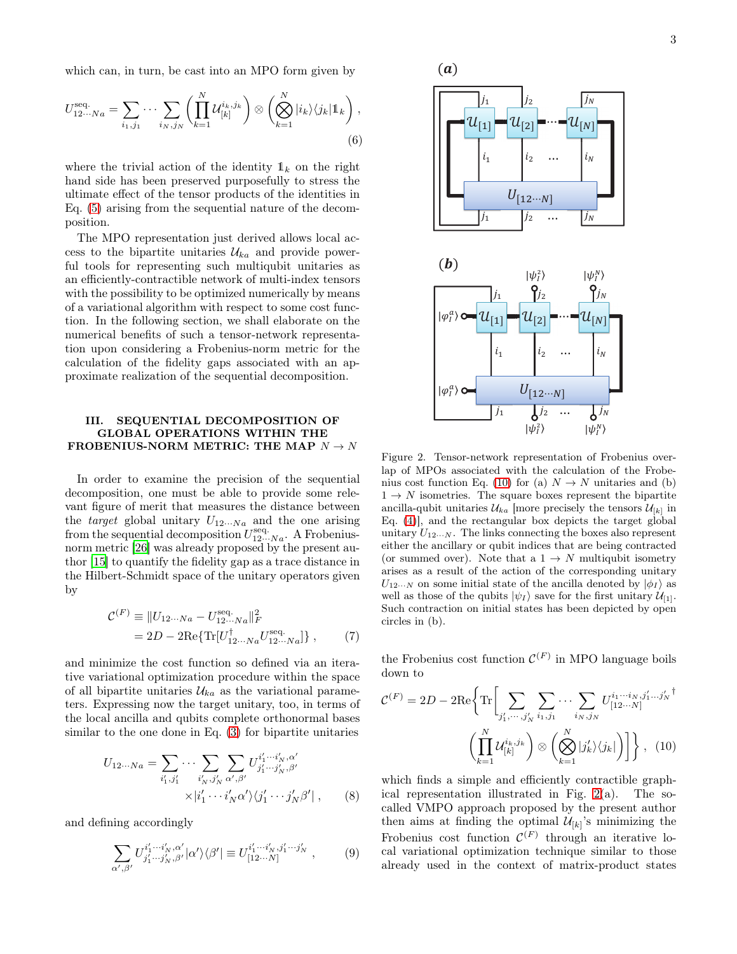which can, in turn, be cast into an MPO form given by

$$
U_{12\cdots Na}^{\text{seq.}} = \sum_{i_1,j_1} \cdots \sum_{i_N,j_N} \left( \prod_{k=1}^N \mathcal{U}_{[k]}^{i_k,j_k} \right) \otimes \left( \bigotimes_{k=1}^N |i_k\rangle\langle j_k|1_k \right),\tag{6}
$$

where the trivial action of the identity  $\mathbb{1}_k$  on the right hand side has been preserved purposefully to stress the ultimate effect of the tensor products of the identities in Eq. [\(5\)](#page-1-2) arising from the sequential nature of the decomposition.

The MPO representation just derived allows local access to the bipartite unitaries  $\mathcal{U}_{ka}$  and provide powerful tools for representing such multiqubit unitaries as an efficiently-contractible network of multi-index tensors with the possibility to be optimized numerically by means of a variational algorithm with respect to some cost function. In the following section, we shall elaborate on the numerical benefits of such a tensor-network representation upon considering a Frobenius-norm metric for the calculation of the fidelity gaps associated with an approximate realization of the sequential decomposition.

#### <span id="page-2-0"></span>III. SEQUENTIAL DECOMPOSITION OF GLOBAL OPERATIONS WITHIN THE FROBENIUS-NORM METRIC: THE MAP  $N \rightarrow N$

In order to examine the precision of the sequential decomposition, one must be able to provide some relevant figure of merit that measures the distance between the *target* global unitary  $U_{12\cdots Na}$  and the one arising from the sequential decomposition  $U_{12\cdots Na}^{\text{seq}}$ . A Frobeniusnorm metric [\[26](#page-5-22)] was already proposed by the present author [\[15\]](#page-5-12) to quantify the fidelity gap as a trace distance in the Hilbert-Schmidt space of the unitary operators given by

<span id="page-2-3"></span>
$$
\mathcal{C}^{(F)} \equiv ||U_{12\cdots Na} - U_{12\cdots Na}^{\text{seq.}}||_F^2
$$
  
= 2D - 2\text{Re}\{\text{Tr}[U\_{12\cdots Na}^{\dagger}U\_{12\cdots Na}^{\text{seq.}}]\}, (7)

and minimize the cost function so defined via an iterative variational optimization procedure within the space of all bipartite unitaries  $\mathcal{U}_{ka}$  as the variational parameters. Expressing now the target unitary, too, in terms of the local ancilla and qubits complete orthonormal bases similar to the one done in Eq. [\(3\)](#page-1-3) for bipartite unitaries

$$
U_{12\cdots Na} = \sum_{i'_1, j'_1} \cdots \sum_{i'_N, j'_N} \sum_{\alpha', \beta'} U_{j'_1 \cdots j'_N, \beta'}^{i'_1 \cdots i'_N, \alpha'}
$$

$$
\times |i'_1 \cdots i'_N \alpha' \rangle \langle j'_1 \cdots j'_N \beta' | , \qquad (8)
$$

and defining accordingly

$$
\sum_{\alpha',\beta'} U^{i'_1\cdots i'_N,\alpha'}_{j'_1\cdots j'_N,\beta'} |\alpha'\rangle\langle\beta'| \equiv U^{i'_1\cdots i'_N,j'_1\cdots j'_N}_{[12\cdots N]},\qquad(9)
$$



<span id="page-2-2"></span>Figure 2. Tensor-network representation of Frobenius overlap of MPOs associated with the calculation of the Frobe-nius cost function Eq. [\(10\)](#page-2-1) for (a)  $N \to N$  unitaries and (b)  $1 \rightarrow N$  isometries. The square boxes represent the bipartite ancilla-qubit unitaries  $\mathcal{U}_{ka}$  [more precisely the tensors  $\mathcal{U}_{[k]}$  in Eq. [\(4\)](#page-1-4)], and the rectangular box depicts the target global unitary  $U_{12\cdots N}$ . The links connecting the boxes also represent either the ancillary or qubit indices that are being contracted (or summed over). Note that a  $1 \rightarrow N$  multiqubit isometry arises as a result of the action of the corresponding unitary  $U_{12\cdots N}$  on some initial state of the ancilla denoted by  $|\phi_I\rangle$  as well as those of the qubits  $|\psi_I\rangle$  save for the first unitary  $\mathcal{U}_{[1]}$ . Such contraction on initial states has been depicted by open circles in (b).

the Frobenius cost function  $\mathcal{C}^{(F)}$  in MPO language boils down to

<span id="page-2-1"></span>
$$
\mathcal{C}^{(F)} = 2D - 2\text{Re}\left\{\text{Tr}\left[\sum_{j'_1,\dots,j'_N} \sum_{i_1,j_1} \dots \sum_{i_N,j_N} U^{i_1\dots i_N,j'_1\dots,j'_N}_{[12\dots N]}\right]^{\dagger} \right\}
$$

$$
\left(\prod_{k=1}^N \mathcal{U}^{i_k,j_k}_{[k]}\right) \otimes \left(\bigotimes_{k=1}^N |j'_k\rangle\langle j_k|\right)\right]\right\}, \quad (10)
$$

which finds a simple and efficiently contractible graphical representation illustrated in Fig. [2\(](#page-2-2)a). The socalled VMPO approach proposed by the present author then aims at finding the optimal  $\mathcal{U}_{[k]}$ 's minimizing the Frobenius cost function  $\mathcal{C}^{(F)}$  through an iterative local variational optimization technique similar to those already used in the context of matrix-product states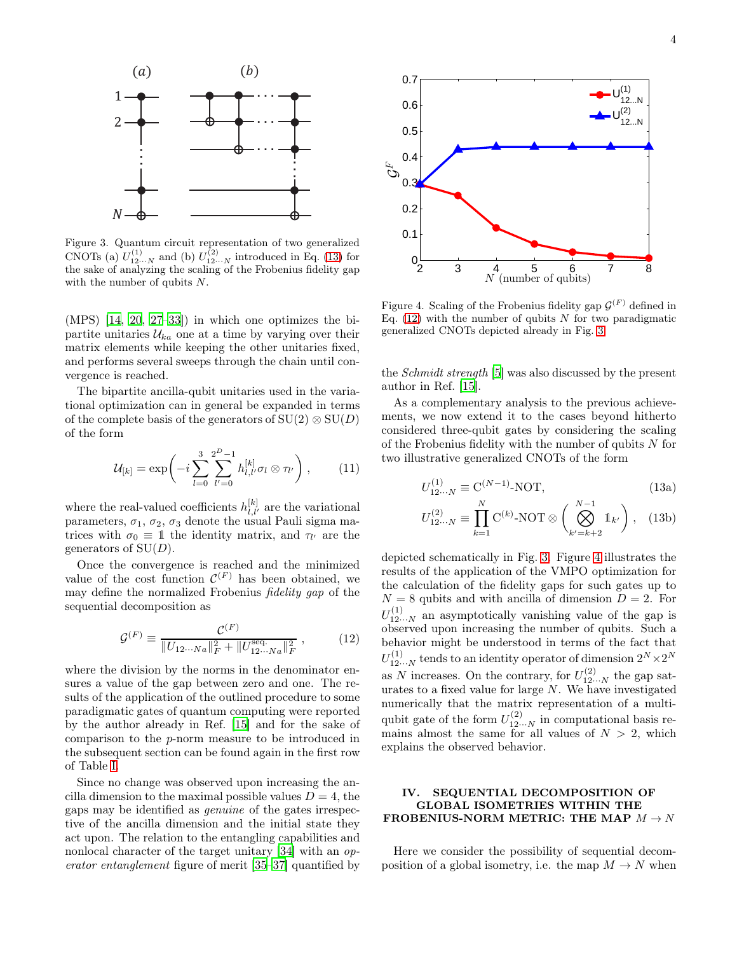

<span id="page-3-3"></span>Figure 3. Quantum circuit representation of two generalized CNOTs (a)  $U_{12\cdots N}^{(1)}$  and (b)  $U_{12\cdots N}^{(2)}$  introduced in Eq. [\(13\)](#page-3-1) for the sake of analyzing the scaling of the Frobenius fidelity gap with the number of qubits N.

 $(MPS)$  [\[14,](#page-5-11) [20,](#page-5-19) [27](#page-5-23)[–33](#page-6-0)]) in which one optimizes the bipartite unitaries  $\mathcal{U}_{ka}$  one at a time by varying over their matrix elements while keeping the other unitaries fixed, and performs several sweeps through the chain until convergence is reached.

The bipartite ancilla-qubit unitaries used in the variational optimization can in general be expanded in terms of the complete basis of the generators of  $SU(2) \otimes SU(D)$ of the form

$$
\mathcal{U}_{[k]} = \exp\bigg(-i\sum_{l=0}^{3} \sum_{l'=0}^{2^D-1} h_{l,l'}^{[k]} \sigma_l \otimes \tau_{l'}\bigg) ,\qquad (11)
$$

where the real-valued coefficients  $h_{l,l'}^{[k]}$  are the variational parameters,  $\sigma_1$ ,  $\sigma_2$ ,  $\sigma_3$  denote the usual Pauli sigma matrices with  $\sigma_0 \equiv 1$  the identity matrix, and  $\tau_{l'}$  are the generators of  $SU(D)$ .

Once the convergence is reached and the minimized value of the cost function  $\mathcal{C}^{(F)}$  has been obtained, we may define the normalized Frobenius fidelity gap of the sequential decomposition as

<span id="page-3-2"></span>
$$
\mathcal{G}^{(F)} \equiv \frac{\mathcal{C}^{(F)}}{\|U_{12\cdots Na}\|_F^2 + \|U_{12\cdots Na}^{\text{seq.}}\|_F^2},\qquad(12)
$$

where the division by the norms in the denominator ensures a value of the gap between zero and one. The results of the application of the outlined procedure to some paradigmatic gates of quantum computing were reported by the author already in Ref. [\[15](#page-5-12)] and for the sake of comparison to the p-norm measure to be introduced in the subsequent section can be found again in the first row of Table [I.](#page-5-24)

Since no change was observed upon increasing the ancilla dimension to the maximal possible values  $D = 4$ , the gaps may be identified as genuine of the gates irrespective of the ancilla dimension and the initial state they act upon. The relation to the entangling capabilities and nonlocal character of the target unitary [\[34\]](#page-6-1) with an *op*erator entanglement figure of merit [\[35](#page-6-2)[–37\]](#page-6-3) quantified by



<span id="page-3-4"></span>Figure 4. Scaling of the Frobenius fidelity gap  $\mathcal{G}^{(F)}$  defined in Eq. [\(12\)](#page-3-2) with the number of qubits  $N$  for two paradigmatic generalized CNOTs depicted already in Fig. [3.](#page-3-3)

the Schmidt strength [\[5](#page-5-4)] was also discussed by the present author in Ref. [\[15](#page-5-12)].

As a complementary analysis to the previous achievements, we now extend it to the cases beyond hitherto considered three-qubit gates by considering the scaling of the Frobenius fidelity with the number of qubits  $N$  for two illustrative generalized CNOTs of the form

<span id="page-3-1"></span>
$$
U_{12\cdots N}^{(1)} \equiv \mathcal{C}^{(N-1)}\text{-NOT},\tag{13a}
$$

$$
U_{12\cdots N}^{(2)} \equiv \prod_{k=1}^{N} \mathcal{C}^{(k)} \text{-NOT} \otimes \left(\bigotimes_{k'=k+2}^{N-1} \mathbb{1}_{k'}\right), \quad (13b)
$$

depicted schematically in Fig. [3.](#page-3-3) Figure [4](#page-3-4) illustrates the results of the application of the VMPO optimization for the calculation of the fidelity gaps for such gates up to  $N = 8$  qubits and with ancilla of dimension  $D = 2$ . For  $U^{(1)}_{12\cdots N}$  an asymptotically vanishing value of the gap is observed upon increasing the number of qubits. Such a behavior might be understood in terms of the fact that  $U_{12\cdots N}^{(1)}$  tends to an identity operator of dimension  $2^N \times 2^N$ as N increases. On the contrary, for  $U_{12...N}^{(2)}$  the gap saturates to a fixed value for large  $N$ . We have investigated numerically that the matrix representation of a multiqubit gate of the form  $U_{12\cdots N}^{(2)}$  in computational basis remains almost the same for all values of  $N > 2$ , which explains the observed behavior.

## <span id="page-3-0"></span>IV. SEQUENTIAL DECOMPOSITION OF GLOBAL ISOMETRIES WITHIN THE FROBENIUS-NORM METRIC: THE MAP  $M \rightarrow N$

Here we consider the possibility of sequential decomposition of a global isometry, i.e. the map  $M \to N$  when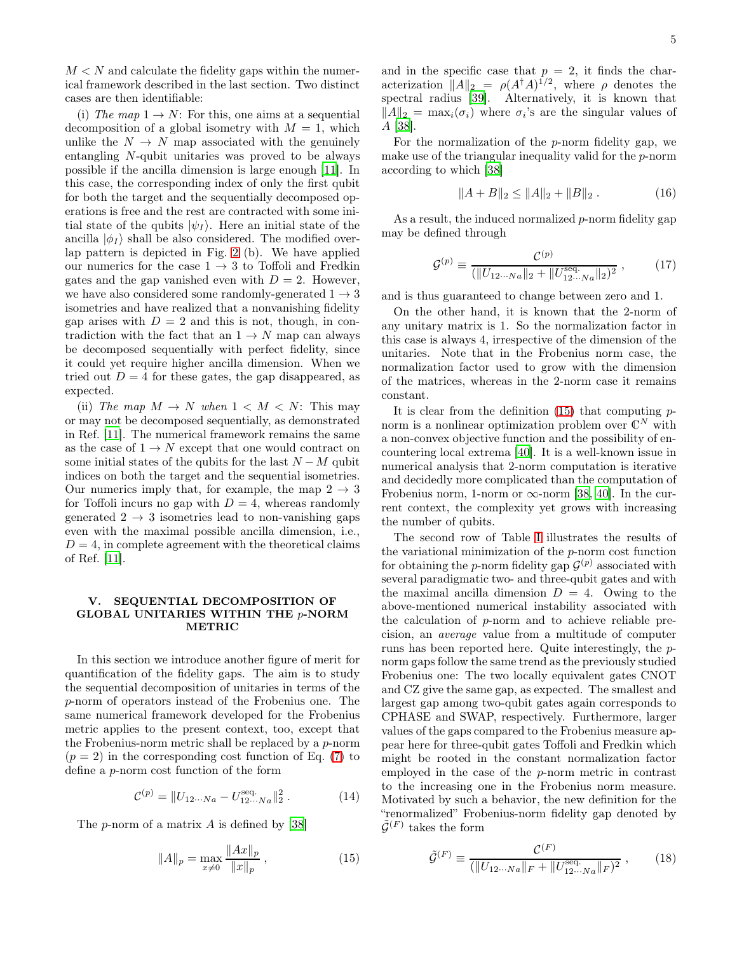(i) The map  $1 \rightarrow N$ : For this, one aims at a sequential decomposition of a global isometry with  $M = 1$ , which unlike the  $N \to N$  map associated with the genuinely entangling  $N$ -qubit unitaries was proved to be always possible if the ancilla dimension is large enough [\[11](#page-5-9)]. In this case, the corresponding index of only the first qubit for both the target and the sequentially decomposed operations is free and the rest are contracted with some initial state of the qubits  $|\psi_I\rangle$ . Here an initial state of the ancilla  $|\phi_I\rangle$  shall be also considered. The modified overlap pattern is depicted in Fig. [2](#page-2-2) (b). We have applied our numerics for the case  $1 \rightarrow 3$  to Toffoli and Fredkin gates and the gap vanished even with  $D = 2$ . However, we have also considered some randomly-generated  $1 \rightarrow 3$ isometries and have realized that a nonvanishing fidelity gap arises with  $D = 2$  and this is not, though, in contradiction with the fact that an  $1 \rightarrow N$  map can always be decomposed sequentially with perfect fidelity, since it could yet require higher ancilla dimension. When we tried out  $D = 4$  for these gates, the gap disappeared, as expected.

(ii) The map  $M \to N$  when  $1 \lt M \lt N$ : This may or may not be decomposed sequentially, as demonstrated in Ref. [\[11\]](#page-5-9). The numerical framework remains the same as the case of  $1 \rightarrow N$  except that one would contract on some initial states of the qubits for the last  $N - M$  qubit indices on both the target and the sequential isometries. Our numerics imply that, for example, the map  $2 \rightarrow 3$ for Toffoli incurs no gap with  $D = 4$ , whereas randomly generated  $2 \rightarrow 3$  isometries lead to non-vanishing gaps even with the maximal possible ancilla dimension, i.e.,  $D = 4$ , in complete agreement with the theoretical claims of Ref. [\[11\]](#page-5-9).

### <span id="page-4-0"></span>V. SEQUENTIAL DECOMPOSITION OF GLOBAL UNITARIES WITHIN THE  $p$ -NORM METRIC

In this section we introduce another figure of merit for quantification of the fidelity gaps. The aim is to study the sequential decomposition of unitaries in terms of the p-norm of operators instead of the Frobenius one. The same numerical framework developed for the Frobenius metric applies to the present context, too, except that the Frobenius-norm metric shall be replaced by a p-norm  $(p = 2)$  in the corresponding cost function of Eq. [\(7\)](#page-2-3) to define a p-norm cost function of the form

$$
\mathcal{C}^{(p)} = \| U_{12\cdots Na} - U_{12\cdots Na}^{\text{seq.}} \|_{2}^{2} . \tag{14}
$$

The p-norm of a matrix A is defined by [\[38\]](#page-6-4)

<span id="page-4-1"></span>
$$
||A||_p = \max_{x \neq 0} \frac{||Ax||_p}{||x||_p},
$$
\n(15)

and in the specific case that  $p = 2$ , it finds the characterization  $||A||_2 = \rho(A^{\dagger}A)^{1/2}$ , where  $\rho$  denotes the spectral radius [\[39](#page-6-5)]. Alternatively, it is known that  $||A||_2 = \max_i(\sigma_i)$  where  $\sigma_i$ 's are the singular values of A [\[38\]](#page-6-4).

For the normalization of the p-norm fidelity gap, we make use of the triangular inequality valid for the p-norm according to which [\[38](#page-6-4)]

$$
||A + B||_2 \le ||A||_2 + ||B||_2.
$$
 (16)

As a result, the induced normalized p-norm fidelity gap may be defined through

$$
\mathcal{G}^{(p)} \equiv \frac{\mathcal{C}^{(p)}}{(\|U_{12\cdots Na}\|_2 + \|U_{12\cdots Na}^{\text{seq.}}\|_2)^2},\tag{17}
$$

and is thus guaranteed to change between zero and 1.

On the other hand, it is known that the 2-norm of any unitary matrix is 1. So the normalization factor in this case is always 4, irrespective of the dimension of the unitaries. Note that in the Frobenius norm case, the normalization factor used to grow with the dimension of the matrices, whereas in the 2-norm case it remains constant.

It is clear from the definition  $(15)$  that computing pnorm is a nonlinear optimization problem over  $\mathbb{C}^N$  with a non-convex objective function and the possibility of encountering local extrema [\[40](#page-6-6)]. It is a well-known issue in numerical analysis that 2-norm computation is iterative and decidedly more complicated than the computation of Frobenius norm, 1-norm or  $\infty$ -norm [\[38,](#page-6-4) [40\]](#page-6-6). In the current context, the complexity yet grows with increasing the number of qubits.

The second row of Table [I](#page-5-24) illustrates the results of the variational minimization of the p-norm cost function for obtaining the *p*-norm fidelity gap  $\mathcal{G}^{(p)}$  associated with several paradigmatic two- and three-qubit gates and with the maximal ancilla dimension  $D = 4$ . Owing to the above-mentioned numerical instability associated with the calculation of p-norm and to achieve reliable precision, an average value from a multitude of computer runs has been reported here. Quite interestingly, the pnorm gaps follow the same trend as the previously studied Frobenius one: The two locally equivalent gates CNOT and CZ give the same gap, as expected. The smallest and largest gap among two-qubit gates again corresponds to CPHASE and SWAP, respectively. Furthermore, larger values of the gaps compared to the Frobenius measure appear here for three-qubit gates Toffoli and Fredkin which might be rooted in the constant normalization factor employed in the case of the p-norm metric in contrast to the increasing one in the Frobenius norm measure. Motivated by such a behavior, the new definition for the "renormalized" Frobenius-norm fidelity gap denoted by  $\tilde{\mathcal{G}}^{(F)}$  takes the form

$$
\tilde{\mathcal{G}}^{(F)} \equiv \frac{\mathcal{C}^{(F)}}{(\|U_{12\cdots Na}\|_F + \|U_{12\cdots Na}^{\text{seq.}}\|_F)^2},\qquad(18)
$$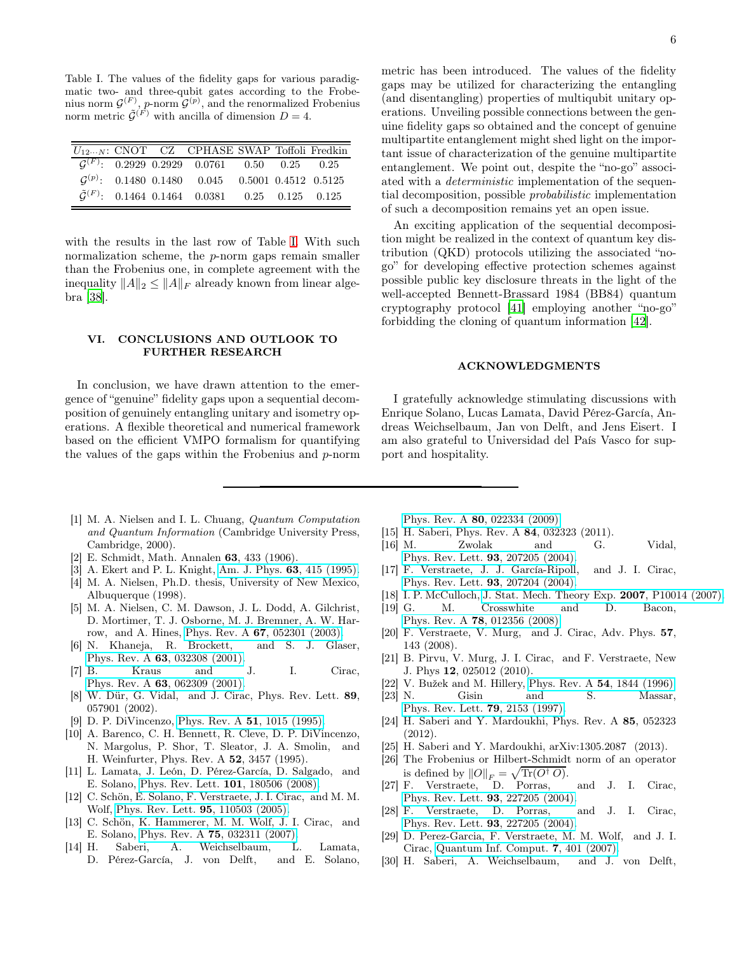<span id="page-5-24"></span>Table I. The values of the fidelity gaps for various paradigmatic two- and three-qubit gates according to the Frobenius norm  $\mathcal{G}^{(F)}$ , p-norm  $\mathcal{G}^{(p)}$ , and the renormalized Frobenius norm metric  $\tilde{\mathcal{G}}^{(\vec{F})}$  with ancilla of dimension  $D=4$ .

|  | $U_{12\cdots N}$ : CNOT CZ CPHASE SWAP Toffoli Fredkin         |  |  |
|--|----------------------------------------------------------------|--|--|
|  | $G^{(F)}$ : 0.2929 0.2929 0.0761 0.50 0.25 0.25                |  |  |
|  | $\mathcal{G}^{(p)}$ : 0.1480 0.1480 0.045 0.5001 0.4512 0.5125 |  |  |
|  | $\tilde{G}^{(F)}$ : 0.1464 0.1464 0.0381 0.25 0.125 0.125      |  |  |

with the results in the last row of Table [I.](#page-5-24) With such normalization scheme, the p-norm gaps remain smaller than the Frobenius one, in complete agreement with the inequality  $||A||_2 \leq ||A||_F$  already known from linear algebra [\[38\]](#page-6-4).

### <span id="page-5-18"></span>VI. CONCLUSIONS AND OUTLOOK TO FURTHER RESEARCH

In conclusion, we have drawn attention to the emergence of "genuine" fidelity gaps upon a sequential decomposition of genuinely entangling unitary and isometry operations. A flexible theoretical and numerical framework based on the efficient VMPO formalism for quantifying the values of the gaps within the Frobenius and p-norm

metric has been introduced. The values of the fidelity gaps may be utilized for characterizing the entangling (and disentangling) properties of multiqubit unitary operations. Unveiling possible connections between the genuine fidelity gaps so obtained and the concept of genuine multipartite entanglement might shed light on the important issue of characterization of the genuine multipartite entanglement. We point out, despite the "no-go" associated with a *deterministic* implementation of the sequential decomposition, possible probabilistic implementation

An exciting application of the sequential decomposition might be realized in the context of quantum key distribution (QKD) protocols utilizing the associated "nogo" for developing effective protection schemes against possible public key disclosure threats in the light of the well-accepted Bennett-Brassard 1984 (BB84) quantum cryptography protocol [\[41](#page-6-7)] employing another "no-go" forbidding the cloning of quantum information [\[42\]](#page-6-8).

of such a decomposition remains yet an open issue.

#### ACKNOWLEDGMENTS

I gratefully acknowledge stimulating discussions with Enrique Solano, Lucas Lamata, David Pérez-García, Andreas Weichselbaum, Jan von Delft, and Jens Eisert. I am also grateful to Universidad del País Vasco for support and hospitality.

- <span id="page-5-0"></span>[1] M. A. Nielsen and I. L. Chuang, Quantum Computation and Quantum Information (Cambridge University Press, Cambridge, 2000).
- <span id="page-5-1"></span>[2] E. Schmidt, Math. Annalen 63, 433 (1906).
- <span id="page-5-3"></span><span id="page-5-2"></span>[3] A. Ekert and P. L. Knight, [Am. J. Phys.](http://dx.doi.org/10.1119/1.17904) 63, 415 (1995). [4] M. A. Nielsen, Ph.D. thesis, University of New Mexico,
- Albuquerque (1998). [5] M. A. Nielsen, C. M. Dawson, J. L. Dodd, A. Gilchrist,
- <span id="page-5-4"></span>D. Mortimer, T. J. Osborne, M. J. Bremner, A. W. Harrow, and A. Hines, Phys. Rev. A 67[, 052301 \(2003\).](http://dx.doi.org/ 10.1103/PhysRevA.67.052301)
- <span id="page-5-5"></span>[6] N. Khaneja, R. Brockett, and S. J. Glaser, Phys. Rev. A 63[, 032308 \(2001\).](http://dx.doi.org/10.1103/PhysRevA.63.032308)
- [7] B. Kraus and J. I. Cirac, Phys. Rev. A 63[, 062309 \(2001\).](http://dx.doi.org/10.1103/PhysRevA.63.062309)
- <span id="page-5-6"></span>[8] W. Dür, G. Vidal, and J. Cirac, Phys. Rev. Lett. 89, 057901 (2002).
- <span id="page-5-7"></span>[9] D. P. DiVincenzo, [Phys. Rev. A](http://dx.doi.org/10.1103/PhysRevA.51.1015) 51, 1015 (1995).
- <span id="page-5-8"></span>[10] A. Barenco, C. H. Bennett, R. Cleve, D. P. DiVincenzo, N. Margolus, P. Shor, T. Sleator, J. A. Smolin, and H. Weinfurter, Phys. Rev. A 52, 3457 (1995).
- <span id="page-5-9"></span>[11] L. Lamata, J. León, D. Pérez-García, D. Salgado, and E. Solano, [Phys. Rev. Lett.](http://dx.doi.org/10.1103/PhysRevLett.101.180506) 101, 180506 (2008).
- <span id="page-5-10"></span>[12] C. Schön, E. Solano, F. Verstraete, J. I. Cirac, and M. M. Wolf, [Phys. Rev. Lett.](http://dx.doi.org/ 10.1103/PhysRevLett.95.110503) 95, 110503 (2005).
- [13] C. Schön, K. Hammerer, M. M. Wolf, J. I. Cirac, and E. Solano, Phys. Rev. A 75[, 032311 \(2007\).](http://dx.doi.org/ 10.1103/PhysRevA.75.032311)
- <span id="page-5-11"></span>[14] H. Saberi, A. Weichselbaum, L. Lamata, D. Pérez-García, J. von Delft, and E. Solano,

Phys. Rev. A 80[, 022334 \(2009\).](http://dx.doi.org/10.1103/PhysRevA.80.022334)

- <span id="page-5-12"></span>[15] H. Saberi, Phys. Rev. A 84, 032323 (2011). [16] M. Zwolak and G. Vidal,
- <span id="page-5-20"></span>[Phys. Rev. Lett.](http://dx.doi.org/10.1103/PhysRevLett.93.207205) 93, 207205 (2004).
- [17] F. Verstraete, J. J. García-Ripoll, and J. I. Cirac, [Phys. Rev. Lett.](http://dx.doi.org/10.1103/PhysRevLett.93.207204) 93, 207204 (2004).
- <span id="page-5-21"></span>[18] I. P. McCulloch, [J. Stat. Mech. Theory Exp.](http://www.iop.org/EJ/abstract/1742-5468/2007/10/P10014/) 2007, P10014 (2007).
- [19] G. M. Crosswhite and D. Bacon, Phys. Rev. A 78[, 012356 \(2008\).](http://dx.doi.org/10.1103/PhysRevA.78.012356)
- <span id="page-5-19"></span>[20] F. Verstraete, V. Murg, and J. Cirac, Adv. Phys. 57, 143 (2008).
- <span id="page-5-13"></span>[21] B. Pirvu, V. Murg, J. I. Cirac, and F. Verstraete, New J. Phys 12, 025012 (2010).
- <span id="page-5-14"></span>[22] V. Bužek and M. Hillery, Phys. Rev. A 54[, 1844 \(1996\).](http://dx.doi.org/ 10.1103/PhysRevA.54.1844)
- <span id="page-5-15"></span>[23] N. Gisin and S. Massar, [Phys. Rev. Lett.](http://dx.doi.org/10.1103/PhysRevLett.79.2153) 79, 2153 (1997).
- <span id="page-5-16"></span>[24] H. Saberi and Y. Mardoukhi, Phys. Rev. A 85, 052323 (2012).
- <span id="page-5-17"></span>[25] H. Saberi and Y. Mardoukhi, arXiv:1305.2087 (2013).
- <span id="page-5-22"></span>[26] The Frobenius or Hilbert-Schmidt norm of an operator is defined by  $||O||_F = \sqrt{\text{Tr}(O^{\dagger} O)}$ .
- <span id="page-5-23"></span>[27] F. Verstraete, D. Porras, and J. I. Cirac, [Phys. Rev. Lett.](http://dx.doi.org/10.1103/PhysRevLett.93.227205) 93, 227205 (2004).
- [28] F. Verstraete, D. Porras, and J. I. Cirac, [Phys. Rev. Lett.](http://dx.doi.org/10.1103/PhysRevLett.93.227205) 93, 227205 (2004).
- [29] D. Perez-Garcia, F. Verstraete, M. M. Wolf, and J. I. Cirac, [Quantum Inf. Comput.](http://www.citebase.org/abstract?id=oai:arXiv.org:quant-ph/0608197) 7, 401 (2007).
- [30] H. Saberi, A. Weichselbaum, and J. von Delft,